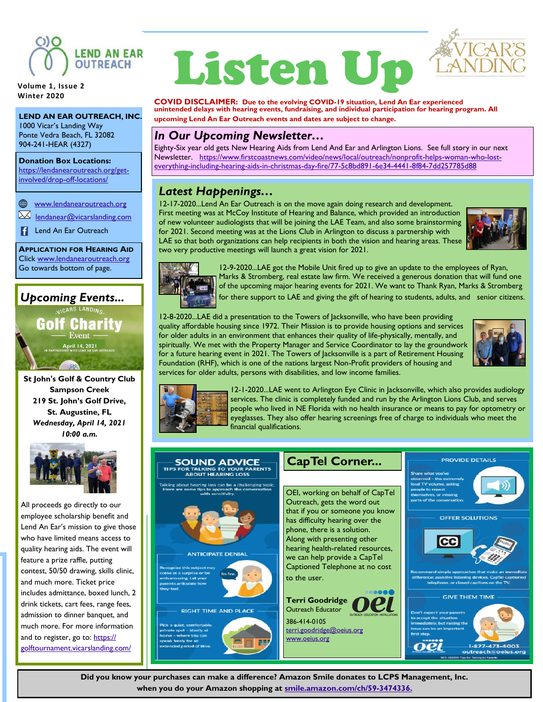

**Volume 1, Issue 2 Winter 2020**

**LEND AN EAR OUTREACH, INC.** 1000 Vicar's Landing Way Ponte Vedra Beach, FL 32082 904-241-HEAR (4327)

**Donation Box Locations:** [https://lendanearoutreach.org/get](https://lendanearoutreach.org/get-involved/drop-off-locations/)[involved/drop-off-locations/](https://lendanearoutreach.org/get-involved/drop-off-locations/)

[www.lendanearoutreach.org](http://www.lendanearoutreach.org)

ᢂ [lendanear@vicarslanding.com](mailto:www.lendanearoutreach.org)

**Lend An Ear Outreach** 

**APPLICATION FOR HEARING AID** Click [www.lendanearoutreach.org](http://www.lendanearoutreach.org) Go towards bottom of page.

## *Upcoming Events...*

NICARS LANDING.

**Golf Charity** Event -**April 14, 2021** 

**St John's Golf & Country Club Sampson Creek 219 St. John's Golf Drive, St. Augustine, FL** *Wednesday, April 14, 2021 10:00 a.m.*



All proceeds go directly to our employee scholarship benefit and Lend An Ear's mission to give those who have limited means access to quality hearing aids. The event will feature a prize raffle, putting contest, 50/50 drawing, skills clinic, and much more. Ticket price includes admittance, boxed lunch, 2 drink tickets, cart fees, range fees, admission to dinner banquet, and much more. For more information and to register, go to: [https://](https://golftournament.vicarslanding.com/) [golftournament.vicarslanding.com/](https://golftournament.vicarslanding.com/)

# Listen Up



**COVID DISCLAIMER: Due to the evolving COVID-19 situation, Lend An Ear experienced unintended delays with hearing events, fundraising, and individual participation for hearing program. All upcoming Lend An Ear Outreach events and dates are subject to change.** 

#### *In Our Upcoming Newsletter…*

Eighty-Six year old gets New Hearing Aids from Lend And Ear and Arlington Lions. See full story in our next Newsletter. [https://www.firstcoastnews.com/video/news/local/outreach/nonprofit-helps-woman-who-lost](https://www.firstcoastnews.com/video/news/local/outreach/nonprofit-helps-woman-who-lost-everything-including-hearing-aids-in-christmas-day-fire/77-5c8bd891-6e34-4441-8f84-7dd257785d88)[everything-including-hearing-aids-in-christmas-day-fire/77-5c8bd891-6e34-4441-8f84-7dd257785d88](https://www.firstcoastnews.com/video/news/local/outreach/nonprofit-helps-woman-who-lost-everything-including-hearing-aids-in-christmas-day-fire/77-5c8bd891-6e34-4441-8f84-7dd257785d88)

#### *Latest Happenings…*

12-17-2020...Lend An Ear Outreach is on the move again doing research and development. First meeting was at McCoy Institute of Hearing and Balance, which provided an introduction of new volunteer audiologists that will be joining the LAE Team, and also some brainstorming for 2021. Second meeting was at the Lions Club in Arlington to discuss a partnership with LAE so that both organizations can help recipients in both the vision and hearing areas. These two very productive meetings will launch a great vision for 2021.





 12-9-2020...LAE got the Mobile Unit fired up to give an update to the employees of Ryan, Marks & Stromberg, real estate law firm. We received a generous donation that will fund one of the upcoming major hearing events for 2021. We want to Thank Ryan, Marks & Stromberg for there support to LAE and giving the gift of hearing to students, adults, and senior citizens.

12-8-2020...LAE did a presentation to the Towers of Jacksonville, who have been providing quality affordable housing since 1972. Their Mission is to provide housing options and services for older adults in an environment that enhances their quality of life-physically, mentally, and spiritually. We met with the Property Manager and Service Coordinator to lay the groundwork for a future hearing event in 2021. The Towers of Jacksonville is a part of Retirement Housing Foundation (RHF), which is one of the nations largest Non-Profit providers of housing and services for older adults, persons with disabilities, and low income families.





12-1-2020...LAE went to Arlington Eye Clinic in Jacksonville, which also provides audiology services. The clinic is completely funded and run by the Arlington Lions Club, and serves people who lived in NE Florida with no health insurance or means to pay for optometry or eyeglasses. They also offer hearing screenings free of charge to individuals who meet the financial qualifications.

| <b>SOUND ADVICE</b><br><b>TIPS FOR TALKING TO YOUR PARENTS</b>                                                                                                    | <b>CapTel Corner</b>                                                                                                                                                                                | <b>PROVIDE DETAILS</b>                                                                                                                                                                                             |
|-------------------------------------------------------------------------------------------------------------------------------------------------------------------|-----------------------------------------------------------------------------------------------------------------------------------------------------------------------------------------------------|--------------------------------------------------------------------------------------------------------------------------------------------------------------------------------------------------------------------|
| <b>ABOUT HEARING LOSS</b><br>Talking about hearing loss can be a challenging topic.<br>Here are some tips to approach the conversation<br>with sensitivity.       | OEI, working on behalf of CapTel<br>Outreach, gets the word out<br>that if you or someone you know<br>has difficulty hearing over the<br>phone, there is a solution.<br>Along with presenting other | Share what you've<br>observed - the extremely<br>loud TV volume, asking<br>people to repeat<br>themselves, or missing<br>parts of the conversation.<br><b>OFFER SOLUTIONS</b>                                      |
| <b>ANTICIPATE DENIAL</b><br>Recognize this subject may<br>come as a surprise or be<br>fin fine.<br>embarrassing. Let your<br>parents articulate how<br>they feel. | hearing health-related resources,<br>we can help provide a CapTel<br>Captioned Telephone at no cost<br>to the user.<br><b>Terri Goodridge</b>                                                       | Recommend simple approaches that make an immediate<br>difference: assistive listening devices. CapTel captioned<br>telephone, or closed captions on the TV.<br><b>GIVE THEM TIME</b>                               |
| <b>RIGHT TIME AND PLACE</b><br>Pick a quiet, comfortable,<br>private spot - ideally at<br>home - where you can<br>speak freely for an<br>extended period of time. | <b>Outreach Educator</b><br>386-414-0105<br>terri.goodridge@oeius.org<br>www.oeius.org                                                                                                              | Don't expect your parents<br>to accept the situation<br>immediately, but raising the<br>issue can be an important<br>first step.<br>1-877-473-4003<br>outreach@oeius.org<br>903-556300 Tips for Talking to Parents |

**Did you know your purchases can make a difference? Amazon Smile donates to LCPS Management, Inc. when you do your Amazon shopping at [smile.amazon.com/ch/59-3474336.](http://smile.amazon.com/ch/59-3474336?fbclid=IwAR1fu3t2uX8eiLOOdtd8aTNJBPMgX5vpTdarJ5hyDrsDVuOyqAVbbxMqHAk)**